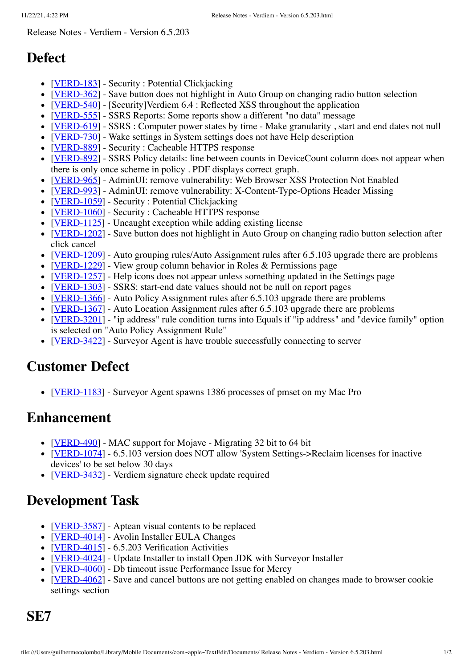Release Notes - Verdiem - Version 6.5.203

## **Defect**

- [[VERD-183](https://jira.devfactory.com/browse/VERD-183)] Security : Potential Clickjacking
- [[VERD-362](https://jira.devfactory.com/browse/VERD-362)] Save button does not highlight in Auto Group on changing radio button selection
- [[VERD-540](https://jira.devfactory.com/browse/VERD-540)] [Security]Verdiem 6.4 : Reflected XSS throughout the application
- [[VERD-555](https://jira.devfactory.com/browse/VERD-555)] SSRS Reports: Some reports show a different "no data" message
- [[VERD-619](https://jira.devfactory.com/browse/VERD-619)] SSRS : Computer power states by time Make granularity , start and end dates not null
- [[VERD-730](https://jira.devfactory.com/browse/VERD-730)] Wake settings in System settings does not have Help description  $\bullet$
- [[VERD-889](https://jira.devfactory.com/browse/VERD-889)] Security : Cacheable HTTPS response
- [[VERD-892](https://jira.devfactory.com/browse/VERD-892)] SSRS Policy details: line between counts in DeviceCount column does not appear when there is only once scheme in policy . PDF displays correct graph.
- [[VERD-965](https://jira.devfactory.com/browse/VERD-965)] AdminUI: remove vulnerability: Web Browser XSS Protection Not Enabled
- [[VERD-993](https://jira.devfactory.com/browse/VERD-993)] AdminUI: remove vulnerability: X-Content-Type-Options Header Missing
- [[VERD-1059](https://jira.devfactory.com/browse/VERD-1059)] Security : Potential Clickjacking
- [[VERD-1060](https://jira.devfactory.com/browse/VERD-1060)] Security : Cacheable HTTPS response
- [[VERD-1125](https://jira.devfactory.com/browse/VERD-1125)] Uncaught exception while adding existing license
- [[VERD-1202](https://jira.devfactory.com/browse/VERD-1202)] Save button does not highlight in Auto Group on changing radio button selection after click cancel
- [[VERD-1209](https://jira.devfactory.com/browse/VERD-1209)] Auto grouping rules/Auto Assignment rules after 6.5.103 upgrade there are problems
- [[VERD-1229](https://jira.devfactory.com/browse/VERD-1229)] View group column behavior in Roles & Permissions page
- [[VERD-1257](https://jira.devfactory.com/browse/VERD-1257)] Help icons does not appear unless something updated in the Settings page
- [[VERD-1303](https://jira.devfactory.com/browse/VERD-1303)] SSRS: start-end date values should not be null on report pages
- [[VERD-1366](https://jira.devfactory.com/browse/VERD-1366)] Auto Policy Assignment rules after 6.5.103 upgrade there are problems
- [[VERD-1367](https://jira.devfactory.com/browse/VERD-1367)] Auto Location Assignment rules after 6.5.103 upgrade there are problems
- [[VERD-3201](https://jira.devfactory.com/browse/VERD-3201)] "ip address" rule condition turns into Equals if "ip address" and "device family" option is selected on "Auto Policy Assignment Rule"
- [[VERD-3422](https://jira.devfactory.com/browse/VERD-3422)] Surveyor Agent is have trouble successfully connecting to server

## **Customer Defect**

• [[VERD-1183](https://jira.devfactory.com/browse/VERD-1183)] - Surveyor Agent spawns 1386 processes of pmset on my Mac Pro

## **Enhancement**

- [[VERD-490](https://jira.devfactory.com/browse/VERD-490)] MAC support for Mojave Migrating 32 bit to 64 bit
- [[VERD-1074](https://jira.devfactory.com/browse/VERD-1074)] 6.5.103 version does NOT allow 'System Settings->Reclaim licenses for inactive devices' to be set below 30 days
- [[VERD-3432](https://jira.devfactory.com/browse/VERD-3432)] Verdiem signature check update required

## **Development Task**

- $[VERD-3587]$  $[VERD-3587]$  $[VERD-3587]$  Aptean visual contents to be replaced
- [[VERD-4014](https://jira.devfactory.com/browse/VERD-4014)] Avolin Installer EULA Changes
- [[VERD-4015](https://jira.devfactory.com/browse/VERD-4015)] 6.5.203 Verification Activities
- [[VERD-4024](https://jira.devfactory.com/browse/VERD-4024)] Update Installer to install Open JDK with Surveyor Installer
- [[VERD-4060](https://jira.devfactory.com/browse/VERD-4060)] Db timeout issue Performance Issue for Mercy
- [[VERD-4062](https://jira.devfactory.com/browse/VERD-4062)] Save and cancel buttons are not getting enabled on changes made to browser cookie settings section

**SE7**